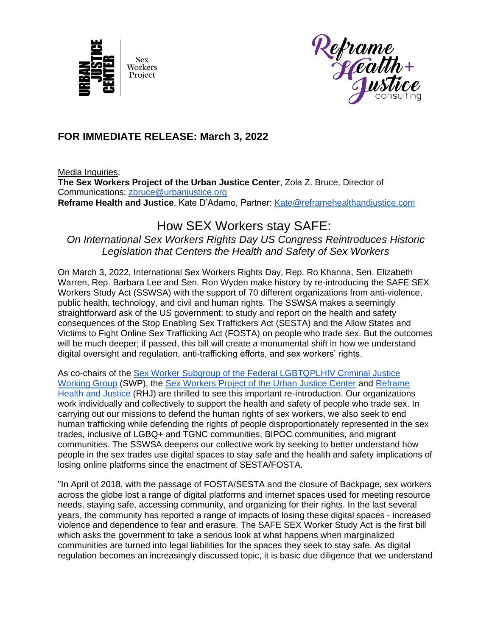



## **FOR IMMEDIATE RELEASE: March 3, 2022**

Media Inquiries:

**The Sex Workers Project of the Urban Justice Center**, Zola Z. Bruce, Director of Communications: [zbruce@urbanjustice.org](mailto:zbruce@urbanjustice.org) **Reframe Health and Justice**, Kate D'Adamo, Partner: [Kate@reframehealthandjustice.com](mailto:Kate@reframehealthandjustice.com)

## How SEX Workers stay SAFE:

*On International Sex Workers Rights Day US Congress Reintroduces Historic Legislation that Centers the Health and Safety of Sex Workers*

On March 3, 2022, International Sex Workers Rights Day, Rep. Ro Khanna, Sen. Elizabeth Warren, Rep. Barbara Lee and Sen. Ron Wyden make history by re-introducing the SAFE SEX Workers Study Act (SSWSA) with the support of 70 different organizations from anti-violence, public health, technology, and civil and human rights. The SSWSA makes a seemingly straightforward ask of the US government: to study and report on the health and safety consequences of the Stop Enabling Sex Traffickers Act (SESTA) and the Allow States and Victims to Fight Online Sex Trafficking Act (FOSTA) on people who trade sex. But the outcomes will be much deeper; if passed, this bill will create a monumental shift in how we understand digital oversight and regulation, anti-trafficking efforts, and sex workers' rights.

As co-chairs of the **Sex Worker Subgroup of the Federal LGBTQPLHIV Criminal Justice** [Working Group](https://make-the-switch.org/join-the-network-subgroup/) (SWP), the [Sex Workers Project of the Urban Justice Center](https://swp.urbanjustice.org/) and [Reframe](https://www.reframehealthandjustice.com/)  [Health and Justice](https://www.reframehealthandjustice.com/) (RHJ) are thrilled to see this important re-introduction. Our organizations work individually and collectively to support the health and safety of people who trade sex. In carrying out our missions to defend the human rights of sex workers, we also seek to end human trafficking while defending the rights of people disproportionately represented in the sex trades, inclusive of LGBQ+ and TGNC communities, BIPOC communities, and migrant communities. The SSWSA deepens our collective work by seeking to better understand how people in the sex trades use digital spaces to stay safe and the health and safety implications of losing online platforms since the enactment of SESTA/FOSTA.

"In April of 2018, with the passage of FOSTA/SESTA and the closure of Backpage, sex workers across the globe lost a range of digital platforms and internet spaces used for meeting resource needs, staying safe, accessing community, and organizing for their rights. In the last several years, the community has reported a range of impacts of losing these digital spaces - increased violence and dependence to fear and erasure. The SAFE SEX Worker Study Act is the first bill which asks the government to take a serious look at what happens when marginalized communities are turned into legal liabilities for the spaces they seek to stay safe. As digital regulation becomes an increasingly discussed topic, it is basic due diligence that we understand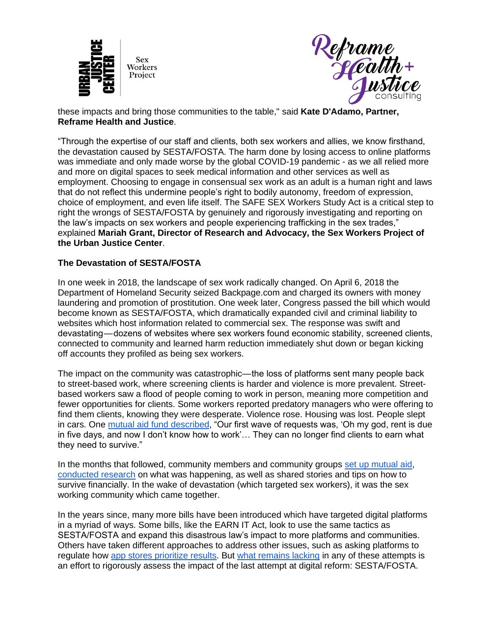



these impacts and bring those communities to the table," said **Kate D'Adamo, Partner, Reframe Health and Justice**.

"Through the expertise of our staff and clients, both sex workers and allies, we know firsthand, the devastation caused by SESTA/FOSTA. The harm done by losing access to online platforms was immediate and only made worse by the global COVID-19 pandemic - as we all relied more and more on digital spaces to seek medical information and other services as well as employment. Choosing to engage in consensual sex work as an adult is a human right and laws that do not reflect this undermine people's right to bodily autonomy, freedom of expression, choice of employment, and even life itself. The SAFE SEX Workers Study Act is a critical step to right the wrongs of SESTA/FOSTA by genuinely and rigorously investigating and reporting on the law's impacts on sex workers and people experiencing trafficking in the sex trades," explained **Mariah Grant, Director of Research and Advocacy, the Sex Workers Project of the Urban Justice Center**.

## **The Devastation of SESTA/FOSTA**

In one week in 2018, the landscape of sex work radically changed. On April 6, 2018 the Department of Homeland Security seized Backpage.com and charged its owners with money laundering and promotion of prostitution. One week later, Congress passed the bill which would become known as SESTA/FOSTA, which dramatically expanded civil and criminal liability to websites which host information related to commercial sex. The response was swift and devastating — dozens of websites where sex workers found economic stability, screened clients, connected to community and learned harm reduction immediately shut down or began kicking off accounts they profiled as being sex workers.

The impact on the community was catastrophic— the loss of platforms sent many people back to street-based work, where screening clients is harder and violence is more prevalent. Streetbased workers saw a flood of people coming to work in person, meaning more competition and fewer opportunities for clients. Some workers reported predatory managers who were offering to find them clients, knowing they were desperate. Violence rose. Housing was lost. People slept in cars. One [mutual aid fund described,](https://www.thedailybeast.com/the-new-law-that-puts-transgender-sex-workers-in-danger) "Our first wave of requests was, 'Oh my god, rent is due in five days, and now I don't know how to work'… They can no longer find clients to earn what they need to survive."

In the months that followed, community members and community groups [set up mutual aid](https://newrepublic.com/article/162823/sex-trafficking-sex-work-sesta-fosta)[,](https://hackinghustling.org/wp-content/uploads/2020/01/HackingHustling-Erased.pdf) [conducted research](https://hackinghustling.org/wp-content/uploads/2020/01/HackingHustling-Erased.pdf) on what was happening, as well as shared stories and tips on how to survive financially. In the wake of devastation (which targeted sex workers), it was the sex working community which came together.

In the years since, many more bills have been introduced which have targeted digital platforms in a myriad of ways. Some bills, like the EARN IT Act, look to use the same tactics as SESTA/FOSTA and expand this disastrous law's impact to more platforms and communities. Others have taken different approaches to address other issues, such as asking platforms to regulate how [app stores prioritize results.](https://www.congress.gov/bill/117th-congress/senate-bill/2992) But [what remains lacking](https://www.brookings.edu/research/the-politics-of-section-230-reform-learning-from-fostas-mistakes/) in any of these attempts is an effort to rigorously assess the impact of the last attempt at digital reform: SESTA/FOSTA.